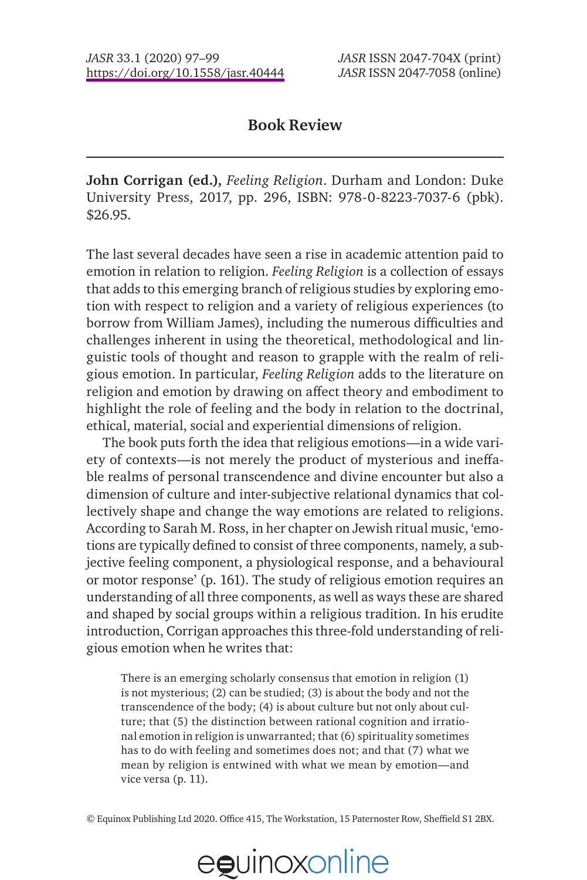## **Book Review**

**John Corrigan (ed.),** *Feeling Religion*. Durham and London: Duke University Press, 2017, pp. 296, ISBN: 978-0-8223-7037-6 (pbk). \$26.95.

The last several decades have seen a rise in academic attention paid to emotion in relation to religion. *Feeling Religion* is a collection of essays that adds to this emerging branch of religious studies by exploring emotion with respect to religion and a variety of religious experiences (to borrow from William James), including the numerous difficulties and challenges inherent in using the theoretical, methodological and linguistic tools of thought and reason to grapple with the realm of religious emotion. In particular, *Feeling Religion* adds to the literature on religion and emotion by drawing on affect theory and embodiment to highlight the role of feeling and the body in relation to the doctrinal, ethical, material, social and experiential dimensions of religion.

The book puts forth the idea that religious emotions—in a wide variety of contexts—is not merely the product of mysterious and ineffable realms of personal transcendence and divine encounter but also a dimension of culture and inter-subjective relational dynamics that collectively shape and change the way emotions are related to religions. According to Sarah M. Ross, in her chapter on Jewish ritual music, 'emotions are typically defined to consist of three components, namely, a subjective feeling component, a physiological response, and a behavioural or motor response' (p. 161). The study of religious emotion requires an understanding of all three components, as well as ways these are shared and shaped by social groups within a religious tradition. In his erudite introduction, Corrigan approaches this three-fold understanding of religious emotion when he writes that:

There is an emerging scholarly consensus that emotion in religion (1) is not mysterious; (2) can be studied; (3) is about the body and not the transcendence of the body; (4) is about culture but not only about culture; that (5) the distinction between rational cognition and irrational emotion in religion is unwarranted; that (6) spirituality sometimes has to do with feeling and sometimes does not; and that (7) what we mean by religion is entwined with what we mean by emotion—and vice versa (p. 11).

© Equinox Publishing Ltd 2020. Office 415, The Workstation, 15 Paternoster Row, Sheffield S1 2BX.

## eguinoxonline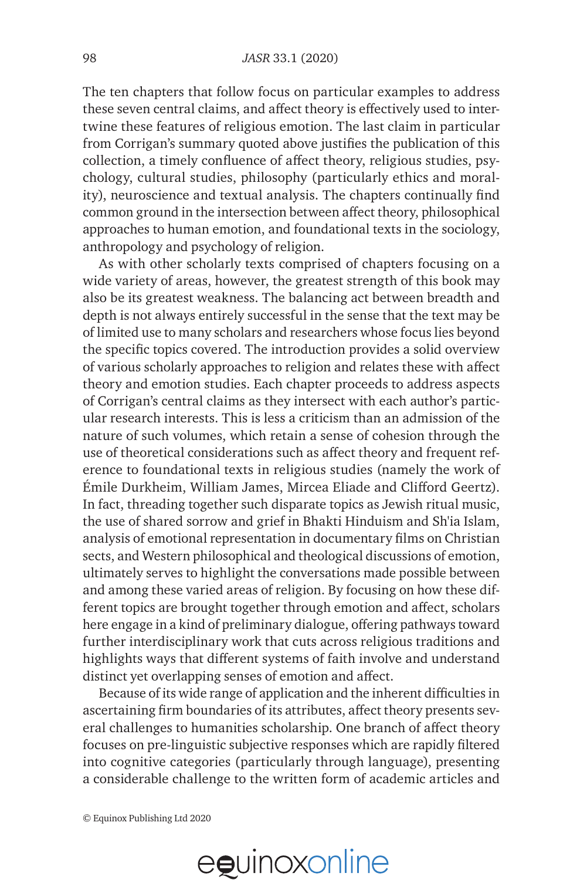The ten chapters that follow focus on particular examples to address these seven central claims, and affect theory is effectively used to intertwine these features of religious emotion. The last claim in particular from Corrigan's summary quoted above justifies the publication of this collection, a timely confluence of affect theory, religious studies, psychology, cultural studies, philosophy (particularly ethics and morality), neuroscience and textual analysis. The chapters continually find common ground in the intersection between affect theory, philosophical approaches to human emotion, and foundational texts in the sociology, anthropology and psychology of religion.

As with other scholarly texts comprised of chapters focusing on a wide variety of areas, however, the greatest strength of this book may also be its greatest weakness. The balancing act between breadth and depth is not always entirely successful in the sense that the text may be of limited use to many scholars and researchers whose focus lies beyond the specific topics covered. The introduction provides a solid overview of various scholarly approaches to religion and relates these with affect theory and emotion studies. Each chapter proceeds to address aspects of Corrigan's central claims as they intersect with each author's particular research interests. This is less a criticism than an admission of the nature of such volumes, which retain a sense of cohesion through the use of theoretical considerations such as affect theory and frequent reference to foundational texts in religious studies (namely the work of Émile Durkheim, William James, Mircea Eliade and Clifford Geertz). In fact, threading together such disparate topics as Jewish ritual music, the use of shared sorrow and grief in Bhakti Hinduism and Sh'ia Islam, analysis of emotional representation in documentary films on Christian sects, and Western philosophical and theological discussions of emotion, ultimately serves to highlight the conversations made possible between and among these varied areas of religion. By focusing on how these different topics are brought together through emotion and affect, scholars here engage in a kind of preliminary dialogue, offering pathways toward further interdisciplinary work that cuts across religious traditions and highlights ways that different systems of faith involve and understand distinct yet overlapping senses of emotion and affect.

Because of its wide range of application and the inherent difficulties in ascertaining firm boundaries of its attributes, affect theory presents several challenges to humanities scholarship. One branch of affect theory focuses on pre-linguistic subjective responses which are rapidly filtered into cognitive categories (particularly through language), presenting a considerable challenge to the written form of academic articles and

© Equinox Publishing Ltd 2020

## eguinoxonline